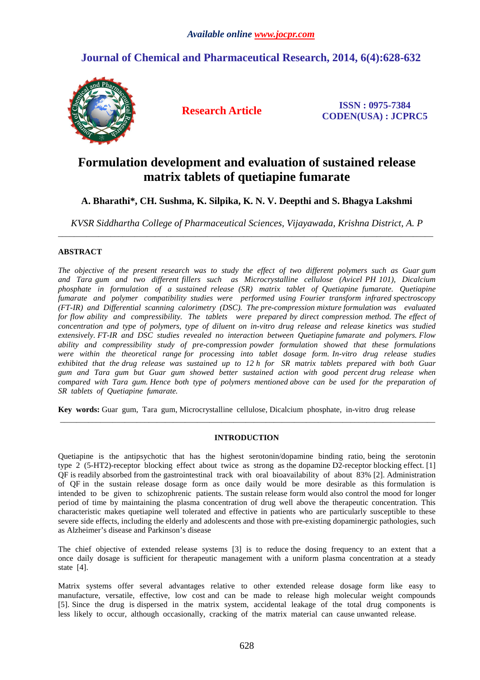# **Journal of Chemical and Pharmaceutical Research, 2014, 6(4):628-632**



**Research Article ISSN : 0975-7384 CODEN(USA) : JCPRC5**

# **Formulation development and evaluation of sustained release matrix tablets of quetiapine fumarate**

# **A. Bharathi\*, CH. Sushma, K. Silpika, K. N. V. Deepthi and S. Bhagya Lakshmi**

*KVSR Siddhartha College of Pharmaceutical Sciences, Vijayawada, Krishna District, A. P*  \_\_\_\_\_\_\_\_\_\_\_\_\_\_\_\_\_\_\_\_\_\_\_\_\_\_\_\_\_\_\_\_\_\_\_\_\_\_\_\_\_\_\_\_\_\_\_\_\_\_\_\_\_\_\_\_\_\_\_\_\_\_\_\_\_\_\_\_\_\_\_\_\_\_\_\_\_\_\_\_\_\_\_\_\_\_\_\_\_\_\_\_\_

# **ABSTRACT**

*The objective of the present research was to study the effect of two different polymers such as Guar gum and Tara gum and two different fillers such as Microcrystalline cellulose (Avicel PH 101), Dicalcium phosphate in formulation of a sustained release (SR) matrix tablet of Quetiapine fumarate. Quetiapine fumarate and polymer compatibility studies were performed using Fourier transform infrared spectroscopy (FT-IR) and Differential scanning calorimetry (DSC). The pre-compression mixture formulation was evaluated for flow ability and compressibility. The tablets were prepared by direct compression method. The effect of concentration and type of polymers, type of diluent on in-vitro drug release and release kinetics was studied extensively. FT-IR and DSC studies revealed no interaction between Quetiapine fumarate and polymers. Flow ability and compressibility study of pre-compression powder formulation showed that these formulations were within the theoretical range for processing into tablet dosage form. In-vitro drug release studies exhibited that the drug release was sustained up to 12 h for SR matrix tablets prepared with both Guar gum and Tara gum but Guar gum showed better sustained action with good percent drug release when compared with Tara gum. Hence both type of polymers mentioned above can be used for the preparation of SR tablets of Quetiapine fumarate.* 

**Key words:** Guar gum, Tara gum, Microcrystalline cellulose, Dicalcium phosphate, in-vitro drug release

# **INTRODUCTION**

\_\_\_\_\_\_\_\_\_\_\_\_\_\_\_\_\_\_\_\_\_\_\_\_\_\_\_\_\_\_\_\_\_\_\_\_\_\_\_\_\_\_\_\_\_\_\_\_\_\_\_\_\_\_\_\_\_\_\_\_\_\_\_\_\_\_\_\_\_\_\_\_\_\_\_\_\_\_\_\_\_\_\_\_\_\_\_\_\_\_\_\_\_

Quetiapine is the antipsychotic that has the highest serotonin/dopamine binding ratio, being the serotonin type 2 (5-HT2)-receptor blocking effect about twice as strong as the dopamine D2-receptor blocking effect. [1] QF is readily absorbed from the gastrointestinal track with oral bioavailability of about 83% [2]. Administration of QF in the sustain release dosage form as once daily would be more desirable as this formulation is intended to be given to schizophrenic patients. The sustain release form would also control the mood for longer period of time by maintaining the plasma concentration of drug well above the therapeutic concentration. This characteristic makes quetiapine well tolerated and effective in patients who are particularly susceptible to these severe side effects, including the elderly and adolescents and those with pre-existing dopaminergic pathologies, such as Alzheimer's disease and Parkinson's disease

The chief objective of extended release systems [3] is to reduce the dosing frequency to an extent that a once daily dosage is sufficient for therapeutic management with a uniform plasma concentration at a steady state [4].

Matrix systems offer several advantages relative to other extended release dosage form like easy to manufacture, versatile, effective, low cost and can be made to release high molecular weight compounds [5]. Since the drug is dispersed in the matrix system, accidental leakage of the total drug components is less likely to occur, although occasionally, cracking of the matrix material can cause unwanted release.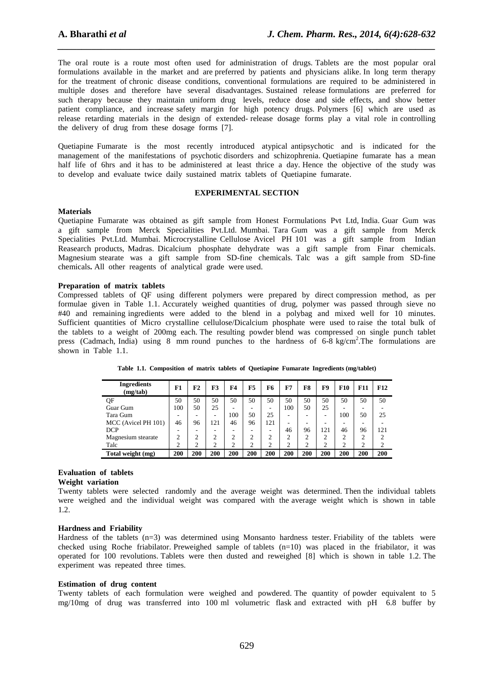The oral route is a route most often used for administration of drugs. Tablets are the most popular oral formulations available in the market and are preferred by patients and physicians alike. In long term therapy for the treatment of chronic disease conditions, conventional formulations are required to be administered in multiple doses and therefore have several disadvantages. Sustained release formulations are preferred for such therapy because they maintain uniform drug levels, reduce dose and side effects, and show better patient compliance, and increase safety margin for high potency drugs. Polymers [6] which are used as release retarding materials in the design of extended- release dosage forms play a vital role in controlling the delivery of drug from these dosage forms [7].

*\_\_\_\_\_\_\_\_\_\_\_\_\_\_\_\_\_\_\_\_\_\_\_\_\_\_\_\_\_\_\_\_\_\_\_\_\_\_\_\_\_\_\_\_\_\_\_\_\_\_\_\_\_\_\_\_\_\_\_\_\_\_\_\_\_\_\_\_\_\_\_\_\_\_\_\_\_\_*

Quetiapine Fumarate is the most recently introduced atypical antipsychotic and is indicated for the management of the manifestations of psychotic disorders and schizophrenia. Quetiapine fumarate has a mean half life of 6hrs and it has to be administered at least thrice a day. Hence the objective of the study was to develop and evaluate twice daily sustained matrix tablets of Quetiapine fumarate.

## **EXPERIMENTAL SECTION**

## **Materials**

Quetiapine Fumarate was obtained as gift sample from Honest Formulations Pvt Ltd, India. Guar Gum was a gift sample from Merck Specialities Pvt.Ltd. Mumbai. Tara Gum was a gift sample from Merck Specialities Pvt.Ltd. Mumbai. Microcrystalline Cellulose Avicel PH 101 was a gift sample from Indian Reasearch products, Madras. Dicalcium phosphate dehydrate was a gift sample from Finar chemicals. Magnesium stearate was a gift sample from SD-fine chemicals. Talc was a gift sample from SD-fine chemicals**.** All other reagents of analytical grade were used.

### **Preparation of matrix tablets**

Compressed tablets of QF using different polymers were prepared by direct compression method, as per formulae given in Table 1.1. Accurately weighed quantities of drug, polymer was passed through sieve no #40 and remaining ingredients were added to the blend in a polybag and mixed well for 10 minutes. Sufficient quantities of Micro crystalline cellulose/Dicalcium phosphate were used to raise the total bulk of the tablets to a weight of 200mg each. The resulting powder blend was compressed on single punch tablet press (Cadmach, India) using 8 mm round punches to the hardness of 6-8 kg/cm<sup>2</sup>. The formulations are shown in Table 1.1.

| <b>Ingredients</b><br>(mg/tab) | F1  | F2             | F3  | F4  | F <sub>5</sub> | F6             | F7  | F8     | F9  | F10    | F11            | F12 |
|--------------------------------|-----|----------------|-----|-----|----------------|----------------|-----|--------|-----|--------|----------------|-----|
| QF                             | 50  | 50             | 50  | 50  | 50             | 50             | 50  | 50     | 50  | 50     | 50             | 50  |
| Guar Gum                       | 100 | 50             | 25  | -   |                | -              | 100 | 50     | 25  | -      |                |     |
| Tara Gum                       |     |                |     | 100 | 50             | 25             | ۰   |        | -   | 100    | 50             | 25  |
| MCC (Avicel PH 101)            | 46  | 96             | 121 | 46  | 96             | 121            | ۰   |        |     |        |                |     |
| <b>DCP</b>                     |     | -              |     |     |                | -              | 46  | 96     | 121 | 46     | 96             | 121 |
| Magnesium stearate             | 2   | $\overline{c}$ | 2   | 2   | ◠              | $\overline{2}$ | 2   | $\sim$ | ↑   | ◠      | $\overline{c}$ | ↑   |
| Talc                           | ◠   | ↑              | ↑   | ↑   | ↑              | C              | ↑   | C      | ↑   | $\sim$ | ↑              | ↑   |
| Total weight (mg)              | 200 | 200            | 200 | 200 | 200            | 200            | 200 | 200    | 200 | 200    | 200            | 200 |

**Table 1.1. Composition of matrix tablets of Quetiapine Fumarate Ingredients (mg/tablet)** 

# **Evaluation of tablets**

# **Weight variation**

Twenty tablets were selected randomly and the average weight was determined. Then the individual tablets were weighed and the individual weight was compared with the average weight which is shown in table 1.2.

## **Hardness and Friability**

Hardness of the tablets (n=3) was determined using Monsanto hardness tester. Friability of the tablets were checked using Roche friabilator. Preweighed sample of tablets  $(n=10)$  was placed in the friabilator, it was operated for 100 revolutions. Tablets were then dusted and reweighed [8] which is shown in table 1.2. The experiment was repeated three times.

#### **Estimation of drug content**

Twenty tablets of each formulation were weighed and powdered. The quantity of powder equivalent to 5 mg/10mg of drug was transferred into 100 ml volumetric flask and extracted with pH 6.8 buffer by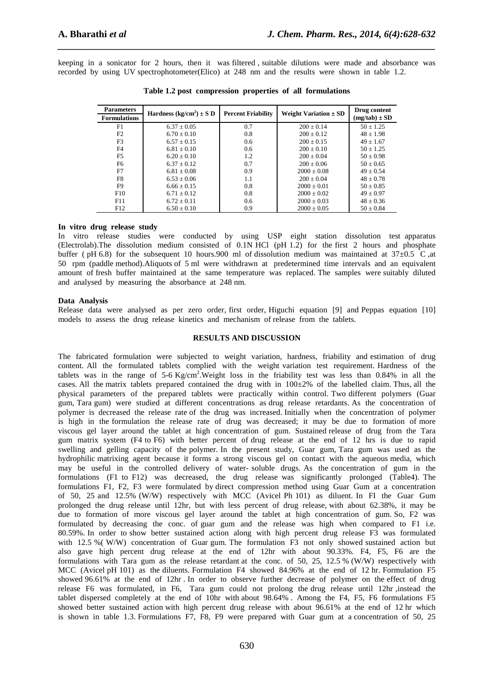keeping in a sonicator for 2 hours, then it was filtered , suitable dilutions were made and absorbance was recorded by using UV spectrophotometer(Elico) at 248 nm and the results were shown in table 1.2.

*\_\_\_\_\_\_\_\_\_\_\_\_\_\_\_\_\_\_\_\_\_\_\_\_\_\_\_\_\_\_\_\_\_\_\_\_\_\_\_\_\_\_\_\_\_\_\_\_\_\_\_\_\_\_\_\_\_\_\_\_\_\_\_\_\_\_\_\_\_\_\_\_\_\_\_\_\_\_*

| <b>Parameters</b>   | Hardness $(kg/cm2) \pm S D$ | <b>Percent Friability</b> | Weight Variation $\pm$ SD | Drug content      |
|---------------------|-----------------------------|---------------------------|---------------------------|-------------------|
| <b>Formulations</b> |                             |                           |                           | $(mg/tab) \pm SD$ |
| F1                  | $6.37 \pm 0.05$             | 0.7                       | $200 + 0.14$              | $50 + 1.25$       |
| F2                  | $6.70 + 0.10$               | 0.8                       | $200 + 0.12$              | $48 \pm 1.98$     |
| F <sub>3</sub>      | $6.57 + 0.15$               | 0.6                       | $200 + 0.15$              | $49 + 1.67$       |
| F <sub>4</sub>      | $6.81 \pm 0.10$             | 0.6                       | $200 + 0.10$              | $50 \pm 1.25$     |
| F5                  | $6.20 + 0.10$               | 1.2                       | $200 + 0.04$              | $50 \pm 0.98$     |
| F6                  | $6.37 + 0.12$               | 0.7                       | $200 + 0.06$              | $50 \pm 0.65$     |
| F7                  | $6.81 + 0.08$               | 0.9                       | $2000 + 0.08$             | $49 + 0.54$       |
| F8                  | $6.53 + 0.06$               | 1.1                       | $200 + 0.04$              | $48 + 0.78$       |
| F9                  | $6.66 \pm 0.15$             | 0.8                       | $2000 \pm 0.01$           | $50 \pm 0.85$     |
| F10                 | $6.71 + 0.12$               | 0.8                       | $2000 + 0.02$             | $49 + 0.97$       |
| F11                 | $6.72 \pm 0.11$             | 0.6                       | $2000 \pm 0.03$           | $48 \pm 0.36$     |
| F12                 | $6.50 \pm 0.10$             | 0.9                       | $2000 \pm 0.05$           | $50 \pm 0.84$     |

**Table 1.2 post compression properties of all formulations** 

## **In vitro drug release study**

In vitro release studies were conducted by using USP eight station dissolution test apparatus (Electrolab).The dissolution medium consisted of 0.1N HCl (pH 1.2) for the first 2 hours and phosphate buffer (  $pH$  6.8) for the subsequent 10 hours.900 ml of dissolution medium was maintained at 37 $\pm$ 0.5 °C at 50 rpm (paddle method).Aliquots of 5 ml were withdrawn at predetermined time intervals and an equivalent amount of fresh buffer maintained at the same temperature was replaced. The samples were suitably diluted and analysed by measuring the absorbance at 248 nm.

#### **Data Analysis**

Release data were analysed as per zero order, first order, Higuchi equation [9] and Peppas equation [10] models to assess the drug release kinetics and mechanism of release from the tablets.

#### **RESULTS AND DISCUSSION**

The fabricated formulation were subjected to weight variation, hardness, friability and estimation of drug content. All the formulated tablets complied with the weight variation test requirement. Hardness of the tablets was in the range of 5-6 Kg/cm<sup>2</sup>. Weight loss in the friability test was less than 0.84% in all the cases. All the matrix tablets prepared contained the drug with in 100±2% of the labelled claim. Thus, all the physical parameters of the prepared tablets were practically within control. Two different polymers (Guar gum, Tara gum) were studied at different concentrations as drug release retardants. As the concentration of polymer is decreased the release rate of the drug was increased. Initially when the concentration of polymer is high in the formulation the release rate of drug was decreased; it may be due to formation of more viscous gel layer around the tablet at high concentration of gum. Sustained release of drug from the Tara gum matrix system (F4 to F6) with better percent of drug release at the end of 12 hrs is due to rapid swelling and gelling capacity of the polymer. In the present study, Guar gum, Tara gum was used as the hydrophilic matrixing agent because it forms a strong viscous gel on contact with the aqueous media, which may be useful in the controlled delivery of water- soluble drugs. As the concentration of gum in the formulations (F1 to F12) was decreased, the drug release was significantly prolonged (Table4). The formulations F1, F2, F3 were formulated by direct compression method using Guar Gum at a concentration of 50, 25 and 12.5% (W/W) respectively with MCC (Avicel Ph 101) as diluent. In FI the Guar Gum prolonged the drug release until 12hr, but with less percent of drug release, with about 62.38%, it may be due to formation of more viscous gel layer around the tablet at high concentration of gum. So, F2 was formulated by decreasing the conc. of guar gum and the release was high when compared to F1 i.e. 80.59%. In order to show better sustained action along with high percent drug release F3 was formulated with 12.5 % (W/W) concentration of Guar gum. The formulation F3 not only showed sustained action but also gave high percent drug release at the end of 12hr with about 90.33%. F4, F5, F6 are the formulations with Tara gum as the release retardant at the conc. of 50, 25, 12.5 % (W/W) respectively with MCC (Avicel pH 101) as the diluents. Formulation F4 showed 84.96% at the end of 12 hr. Formulation F5 showed 96.61% at the end of 12hr . In order to observe further decrease of polymer on the effect of drug release F6 was formulated, in F6, Tara gum could not prolong the drug release until 12hr ,instead the tablet dispersed completely at the end of 10hr with about 98.64% . Among the F4, F5, F6 formulations F5 showed better sustained action with high percent drug release with about 96.61% at the end of 12 hr which is shown in table 1.3. Formulations F7, F8, F9 were prepared with Guar gum at a concentration of 50, 25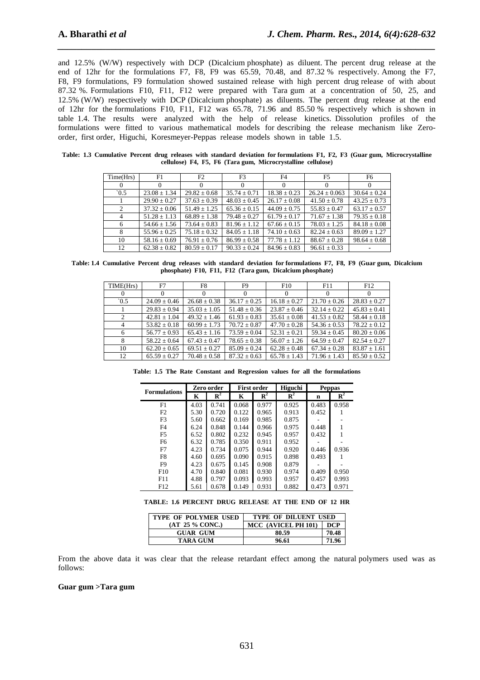and 12.5% (W/W) respectively with DCP (Dicalcium phosphate) as diluent. The percent drug release at the end of 12hr for the formulations F7, F8, F9 was 65.59, 70.48, and 87.32 % respectively. Among the F7, F8, F9 formulations, F9 formulation showed sustained release with high percent drug release of with about 87.32 %. Formulations F10, F11, F12 were prepared with Tara gum at a concentration of 50, 25, and 12.5% (W/W) respectively with DCP (Dicalcium phosphate) as diluents. The percent drug release at the end of 12hr for the formulations F10, F11, F12 was 65.78, 71.96 and 85.50 % respectively which is shown in table 1.4. The results were analyzed with the help of release kinetics. Dissolution profiles of the formulations were fitted to various mathematical models for describing the release mechanism like Zeroorder, first order, Higuchi, Koresmeyer-Peppas release models shown in table 1.5.

*\_\_\_\_\_\_\_\_\_\_\_\_\_\_\_\_\_\_\_\_\_\_\_\_\_\_\_\_\_\_\_\_\_\_\_\_\_\_\_\_\_\_\_\_\_\_\_\_\_\_\_\_\_\_\_\_\_\_\_\_\_\_\_\_\_\_\_\_\_\_\_\_\_\_\_\_\_\_*

| Time(Hrs)     | F1               | F2               | F <sub>3</sub>   | F <sub>4</sub>   | F <sub>5</sub>    | F6               |
|---------------|------------------|------------------|------------------|------------------|-------------------|------------------|
|               |                  |                  | $\Omega$         |                  | $\Omega$          |                  |
| $\degree$ 0.5 | $23.08 \pm 1.34$ | $29.82 \pm 0.68$ | $35.74 \pm 0.71$ | $18.38 \pm 0.23$ | $26.24 \pm 0.063$ | $30.64 \pm 0.24$ |
|               | $29.90 \pm 0.27$ | $37.63 \pm 0.39$ | $48.03 \pm 0.45$ | $26.17 \pm 0.08$ | $41.50 \pm 0.78$  | $43.25 \pm 0.73$ |
|               | $37.32 \pm 0.06$ | $51.49 \pm 1.25$ | $65.36 \pm 0.15$ | $44.09 + 0.75$   | $55.83 \pm 0.47$  | $63.17 \pm 0.57$ |
| 4             | $51.28 \pm 1.13$ | $68.89 \pm 1.38$ | $79.48 \pm 0.27$ | $61.79 \pm 0.17$ | $71.67 \pm 1.38$  | $79.35 \pm 0.18$ |
| 6             | $54.66 \pm 1.56$ | $73.64 + 0.83$   | $81.96 + 1.12$   | $67.66 + 0.15$   | $78.03 + 1.25$    | $84.18 \pm 0.08$ |
|               | $55.96 \pm 0.25$ | $75.18 \pm 0.32$ | $84.05 + 1.18$   | $74.10 \pm 0.63$ | $82.24 \pm 0.63$  | $89.09 + 1.27$   |
| 10            | $58.16 \pm 0.69$ | $76.91 \pm 0.76$ | $86.99 + 0.58$   | $77.78 + 1.12$   | $88.67 + 0.28$    | $98.64 \pm 0.68$ |
| 12            | $62.38 \pm 0.82$ | $80.59 \pm 0.17$ | $90.33 \pm 0.24$ | $84.96 + 0.83$   | $96.61 \pm 0.33$  |                  |

**Table: 1.3 Cumulative Percent drug releases with standard deviation for formulations F1, F2, F3 (Guar gum, Microcrystalline cellulose) F4, F5, F6 (Tara gum, Microcrystalline cellulose)** 

**Table: 1.4 Cumulative Percent drug releases with standard deviation for formulations F7, F8, F9 (Guar gum, Dicalcium phosphate) F10, F11, F12 (Tara gum, Dicalcium phosphate)** 

| TIME(Hrs)      | F7               | F8               | F <sub>9</sub>   | F10              | F11              | F12              |
|----------------|------------------|------------------|------------------|------------------|------------------|------------------|
|                |                  | $\Omega$         |                  | $\Omega$         | $\theta$         |                  |
| $^{\circ}0.5$  | $24.09 \pm 0.46$ | $26.68 \pm 0.38$ | $36.17 \pm 0.25$ | $16.18 \pm 0.27$ | $21.70 \pm 0.26$ | $28.83 \pm 0.27$ |
|                | $29.83 \pm 0.94$ | $35.03 \pm 1.05$ | $51.48 \pm 0.36$ | $23.87 \pm 0.46$ | $32.14 \pm 0.22$ | $45.83 \pm 0.41$ |
| 2              | $42.81 \pm 1.04$ | $49.32 \pm 1.46$ | $61.93 \pm 0.83$ | $35.61 \pm 0.08$ | $41.53 \pm 0.82$ | $58.44 + 0.18$   |
| $\overline{4}$ | $53.82 + 0.18$   | $60.99 + 1.73$   | $70.72 + 0.87$   | $47.70 + 0.28$   | $54.36 + 0.53$   | $78.22 + 0.12$   |
| 6              | $56.77 \pm 0.93$ | $65.43 \pm 1.16$ | $73.59 + 0.04$   | $52.31 \pm 0.21$ | $59.34 + 0.45$   | $80.20 + 0.06$   |
| 8              | $58.22 + 0.64$   | $67.43 + 0.47$   | $78.65 \pm 0.38$ | $56.07 \pm 1.26$ | $64.59 + 0.47$   | $82.54 + 0.27$   |
| 10             | $62.20 \pm 0.65$ | $69.51 \pm 0.27$ | $85.09 \pm 0.24$ | $62.28 \pm 0.48$ | $67.34 \pm 0.28$ | $83.87 \pm 1.61$ |
| 12             | $65.59 \pm 0.27$ | $70.48 \pm 0.58$ | $87.32 \pm 0.63$ | $65.78 \pm 1.43$ | $71.96 + 1.43$   | $85.50 + 0.52$   |

**Table: 1.5 The Rate Constant and Regression values for all the formulations**

| <b>Formulations</b> | Zero order |                |       | <b>First order</b> | Higuchi        | <b>Peppas</b> |                |
|---------------------|------------|----------------|-------|--------------------|----------------|---------------|----------------|
|                     | K          | $\mathbf{R}^2$ | Κ     | $\mathbf{R}^2$     | $\mathbf{R}^2$ | n             | $\mathbf{R}^2$ |
| F1                  | 4.03       | 0.741          | 0.068 | 0.977              | 0.925          | 0.483         | 0.958          |
| F2                  | 5.30       | 0.720          | 0.122 | 0.965              | 0.913          | 0.452         |                |
| F <sub>3</sub>      | 5.60       | 0.662          | 0.169 | 0.985              | 0.875          |               |                |
| F <sub>4</sub>      | 6.24       | 0.848          | 0.144 | 0.966              | 0.975          | 0.448         |                |
| F5                  | 6.52       | 0.802          | 0.232 | 0.945              | 0.957          | 0.432         |                |
| F6                  | 6.32       | 0.785          | 0.350 | 0.911              | 0.952          |               |                |
| F7                  | 4.23       | 0.734          | 0.075 | 0.944              | 0.920          | 0.446         | 0.936          |
| F8                  | 4.60       | 0.695          | 0.090 | 0.915              | 0.898          | 0.493         |                |
| F9                  | 4.23       | 0.675          | 0.145 | 0.908              | 0.879          |               |                |
| F10                 | 4.70       | 0.840          | 0.081 | 0.930              | 0.974          | 0.409         | 0.950          |
| F11                 | 4.88       | 0.797          | 0.093 | 0.993              | 0.957          | 0.457         | 0.993          |
| F12                 | 5.61       | 0.678          | 0.149 | 0.931              | 0.882          | 0.473         | 0.971          |

**TABLE: 1.6 PERCENT DRUG RELEASE AT THE END OF 12 HR** 

| <b>TYPE OF POLYMER USED</b> | <b>TYPE OF DILUENT USED</b> |       |  |  |  |
|-----------------------------|-----------------------------|-------|--|--|--|
| (AT 25 % CONC.)             | MCC (AVICEL PH 101)         | DCP   |  |  |  |
| <b>GUAR GUM</b>             | 80.59                       | 70.48 |  |  |  |
| TARA GUM                    | 96.61                       | 71.96 |  |  |  |

From the above data it was clear that the release retardant effect among the natural polymers used was as follows:

#### **Guar gum >Tara gum**